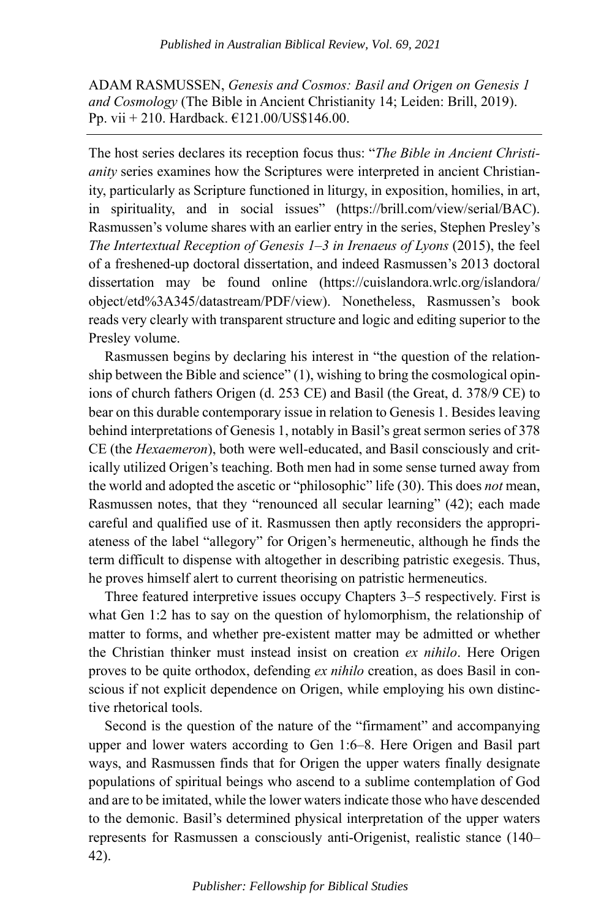ADAM RASMUSSEN, *Genesis and Cosmos: Basil and Origen on Genesis 1 and Cosmology* (The Bible in Ancient Christianity 14; Leiden: Brill, 2019). Pp. vii + 210. Hardback. €121.00/US\$146.00.

The host series declares its reception focus thus: "*The Bible in Ancient Christianity* series examines how the Scriptures were interpreted in ancient Christianity, particularly as Scripture functioned in liturgy, in exposition, homilies, in art, in spirituality, and in social issues" (https://brill.com/view/serial/BAC). Rasmussen's volume shares with an earlier entry in the series, Stephen Presley's *The Intertextual Reception of Genesis 1–3 in Irenaeus of Lyons (2015), the feel* of a freshened-up doctoral dissertation, and indeed Rasmussen's 2013 doctoral dissertation may be found online (https://cuislandora.wrlc.org/islandora/ object/etd%3A345/datastream/PDF/view). Nonetheless, Rasmussen's book reads very clearly with transparent structure and logic and editing superior to the Presley volume.

Rasmussen begins by declaring his interest in "the question of the relationship between the Bible and science" (1), wishing to bring the cosmological opinions of church fathers Origen (d. 253 CE) and Basil (the Great, d. 378/9 CE) to bear on this durable contemporary issue in relation to Genesis 1. Besides leaving behind interpretations of Genesis 1, notably in Basil's great sermon series of 378 CE (the *Hexaemeron*), both were well-educated, and Basil consciously and critically utilized Origen's teaching. Both men had in some sense turned away from the world and adopted the ascetic or "philosophic" life (30). This does *not* mean, Rasmussen notes, that they "renounced all secular learning" (42); each made careful and qualified use of it. Rasmussen then aptly reconsiders the appropriateness of the label "allegory" for Origen's hermeneutic, although he finds the term difficult to dispense with altogether in describing patristic exegesis. Thus, he proves himself alert to current theorising on patristic hermeneutics.

Three featured interpretive issues occupy Chapters 3–5 respectively. First is what Gen 1:2 has to say on the question of hylomorphism, the relationship of matter to forms, and whether pre-existent matter may be admitted or whether the Christian thinker must instead insist on creation *ex nihilo*. Here Origen proves to be quite orthodox, defending *ex nihilo* creation, as does Basil in conscious if not explicit dependence on Origen, while employing his own distinctive rhetorical tools.

Second is the question of the nature of the "firmament" and accompanying upper and lower waters according to Gen 1:6–8. Here Origen and Basil part ways, and Rasmussen finds that for Origen the upper waters finally designate populations of spiritual beings who ascend to a sublime contemplation of God and are to be imitated, while the lower waters indicate those who have descended to the demonic. Basil's determined physical interpretation of the upper waters represents for Rasmussen a consciously anti-Origenist, realistic stance (140– 42).